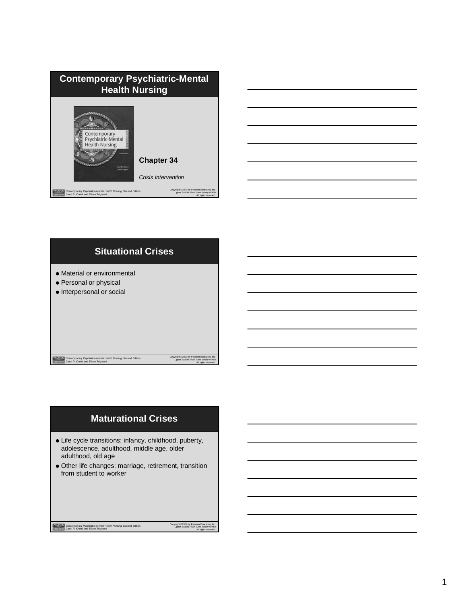| <b>Contemporary Psychiatric-Mental</b><br><b>Health Nursing</b>                                                                                                                                                                              |  |
|----------------------------------------------------------------------------------------------------------------------------------------------------------------------------------------------------------------------------------------------|--|
| Contemporary<br>Psychiatric-Mental<br><b>Health Nursing</b><br><b>Count Fabrica</b><br><b>Chapter 34</b><br>Carol Reg Karld<br>Eileen Trigoboff<br>Crisis Intervention                                                                       |  |
| Copyright @2009 by Pearson Education, Inc.<br>PEARSON<br>Contemporary Psychiatric-Mental Health Nursing, Second Edition<br>Upper Saddle River, New Jersey 07458<br>Rehration<br>Carol R. Kneisl and Eileen Trigoboff<br>All rights reserved. |  |





# **Maturational Crises**

- Life cycle transitions: infancy, childhood, puberty, adolescence, adulthood, middle age, older adulthood, old age
- Other life changes: marriage, retirement, transition from student to worker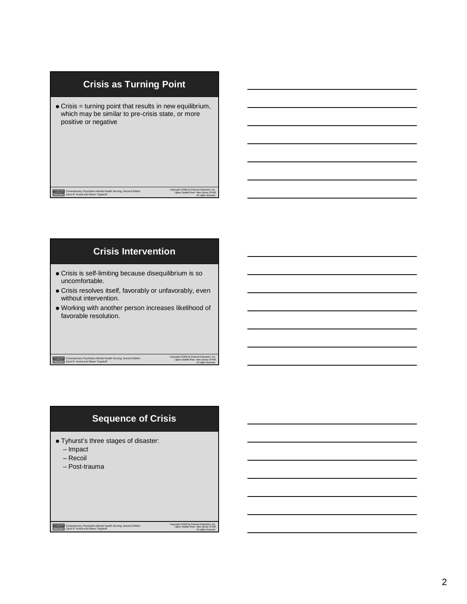# Copyright ©2009 by Pearson Education, Inc. Upper Saddle River, New Jersey 07458 All rights reserved. *Contemporary Psychiatric-Mental Health Nursing,* Second Edition Carol R. Kneisl and Eileen Trigoboff **Crisis as Turning Point** Crisis = turning point that results in new equilibrium, which may be similar to pre-crisis state, or more positive or negative

## **Crisis Intervention**

- Crisis is self-limiting because disequilibrium is so uncomfortable.
- Crisis resolves itself, favorably or unfavorably, even without intervention.
- Working with another person increases likelihood of favorable resolution.

*Contemporary Psychiatric-Mental Health Nursing,* Second Edition Carol R. Kneisl and Eileen Trigoboff

Copyright ©2009 by Pearson Education, Inc. Upper Saddle River, New Jersey 07458 All rights reserved.

Copyright ©2009 by Pearson Education, Inc. Upper Saddle River, New Jersey 07458 All rights reserved.

### **Sequence of Crisis**

- Tyhurst's three stages of disaster:
- Impact
- Recoil
- Post-trauma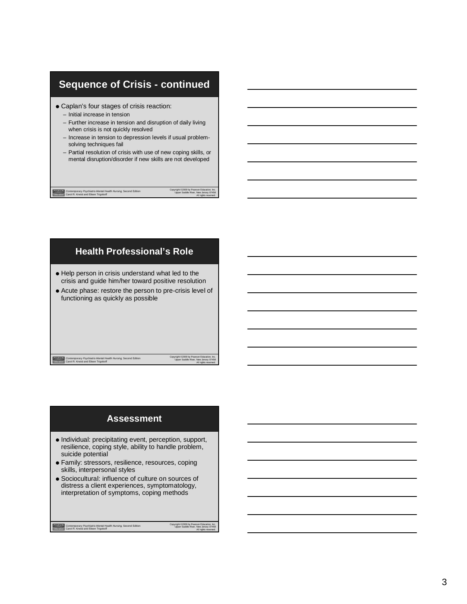# **Sequence of Crisis - continued**

- Caplan's four stages of crisis reaction:
	- Initial increase in tension

*Contemporary Psychiatric-Mental Health Nursing,* Second Edition Carol R. Kneisl and Eileen Trigoboff

- Further increase in tension and disruption of daily living when crisis is not quickly resolved
- Increase in tension to depression levels if usual problemsolving techniques fail
- Partial resolution of crisis with use of new coping skills, or mental disruption/disorder if new skills are not developed

### **Health Professional's Role**

- $\bullet$  Help person in crisis understand what led to the crisis and guide him/her toward positive resolution Acute phase: restore the person to pre-crisis level of
- functioning as quickly as possible

#### *Contemporary Psychiatric-Mental Health Nursing,* Second Edition Carol R. Kneisl and Eileen Trigoboff

Copyright ©2009 by Pearson Education, Inc. Upper Saddle River, New Jersey 07458 All rights reserved.

Copyright ©2009 by Pearson Education, Inc. Upper Saddle River, New Jersey 07458 All rights reserved.

### **Assessment**

- $\bullet$  Individual: precipitating event, perception, support, resilience, coping style, ability to handle problem, suicide potential
- Family: stressors, resilience, resources, coping skills, interpersonal styles
- Sociocultural: influence of culture on sources of distress a client experiences, symptomatology, interpretation of symptoms, coping methods

*Contemporary Psychiatric-Mental Health Nursing,* Second Edition Carol R. Kneisl and Eileen Trigoboff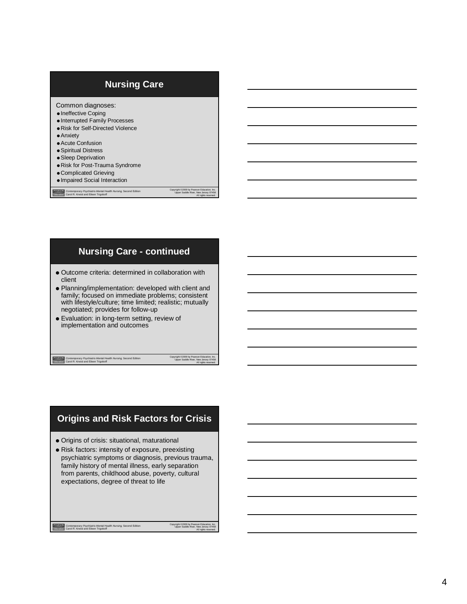### **Nursing Care**

Common diagnoses:

- $\bullet$  Ineffective Coping
- Interrupted Family Processes
- Risk for Self-Directed Violence
- Anxiety
- Acute Confusion
- Spiritual Distress
- Sleep Deprivation
- Risk for Post-Trauma Syndrome
- Complicated Grieving
- Impaired Social Interaction

PEARSON *Contemporary Psychiatric-Mental Health Nursing,* Second Edition Carol R. Kneisl and Eileen Trigoboff

### **Nursing Care - continued**

- Outcome criteria: determined in collaboration with client
- Planning/implementation: developed with client and family; focused on immediate problems; consistent with lifestyle/culture; time limited; realistic; mutually negotiated; provides for follow-up
- Evaluation: in long-term setting, review of implementation and outcomes

*Contemporary Psychiatric-Mental Health Nursing,* Second Edition Carol R. Kneisl and Eileen Trigoboff

Copyright ©2009 by Pearson Education, Inc. Upper Saddle River, New Jersey 07458 All rights reserved.

Copyright ©2009 by Pearson Education, Inc. Upper Saddle River, New Jersey 07458 All rights reserved.

### **Origins and Risk Factors for Crisis**

- Origins of crisis: situational, maturational
- Risk factors: intensity of exposure, preexisting psychiatric symptoms or diagnosis, previous trauma, family history of mental illness, early separation from parents, childhood abuse, poverty, cultural expectations, degree of threat to life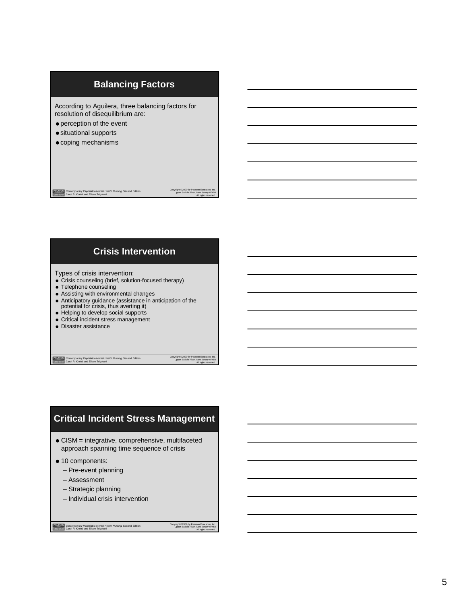### **Balancing Factors**

According to Aguilera, three balancing factors for resolution of disequilibrium are:

- perception of the event
- situational supports
- $\bullet$  coping mechanisms

*Contemporary Psychiatric-Mental Health Nursing,* Second Edition Carol R. Kneisl and Eileen Trigoboff

**Crisis Intervention**

#### Types of crisis intervention:

- Crisis counseling (brief, solution-focused therapy)
- Telephone counseling
- Assisting with environmental changes
- Anticipatory guidance (assistance in anticipation of the potential for crisis, thus averting it)
- 
- Helping to develop social supports • Critical incident stress management
- 
- Disaster assistance

*Contemporary Psychiatric-Mental Health Nursing,* Second Edition Carol R. Kneisl and Eileen Trigoboff

Copyright ©2009 by Pearson Education, Inc. Upper Saddle River, New Jersey 07458 All rights reserved.

Copyright ©2009 by Pearson Education, Inc. Upper Saddle River, New Jersey 07458 All rights reserved.

### **Critical Incident Stress Management**

CISM = integrative, comprehensive, multifaceted approach spanning time sequence of crisis

- $\bullet$  10 components:
	- Pre-event planning
	- Assessment
	- Strategic planning
	- Individual crisis intervention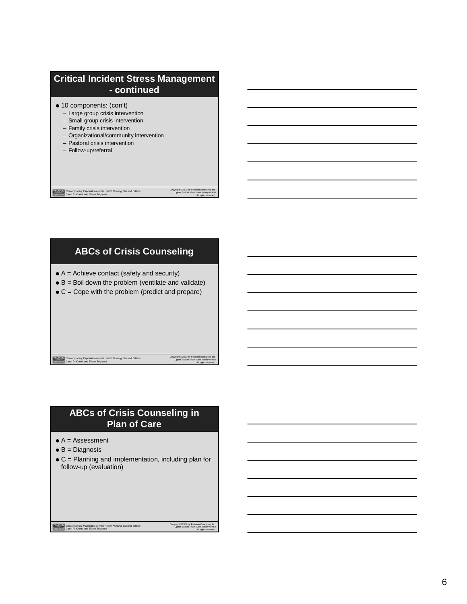# **Critical Incident Stress Management - continued**

- 10 components: (con't)
	- Large group crisis intervention
	- Small group crisis intervention
	- Family crisis intervention
	- Organizational/community intervention
	- Pastoral crisis intervention
	- Follow-up/referral

*Contemporary Psychiatric-Mental Health Nursing,* Second Edition Carol R. Kneisl and Eileen Trigoboff

### **ABCs of Crisis Counseling**

- $\bullet$  A = Achieve contact (safety and security)
- $\bullet$  B = Boil down the problem (ventilate and validate)
- $\bullet$  C = Cope with the problem (predict and prepare)

*Contemporary Psychiatric-Mental Health Nursing,* Second Edition Carol R. Kneisl and Eileen Trigoboff

Copyright ©2009 by Pearson Education, Inc. Upper Saddle River, New Jersey 07458 All rights reserved.

Copyright ©2009 by Pearson Education, Inc. Upper Saddle River, New Jersey 07458 All rights reserved.

Copyright ©2009 by Pearson Education, Inc. Upper Saddle River, New Jersey 07458 All rights reserved.

### **ABCs of Crisis Counseling in Plan of Care**

- $\bullet$  A = Assessment
- $\bullet$  B = Diagnosis
- $\bullet$  C = Planning and implementation, including plan for follow-up (evaluation)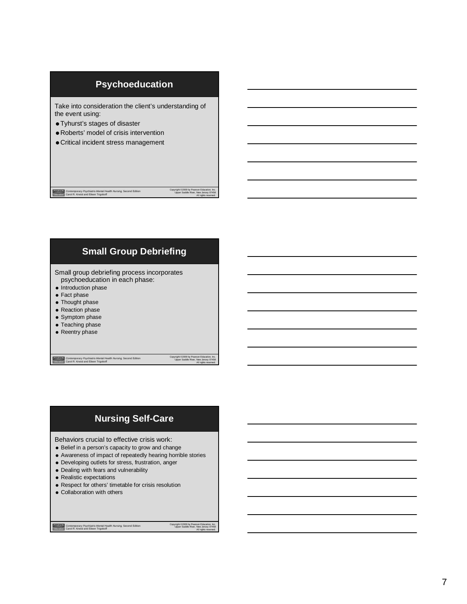### **Psychoeducation**

Take into consideration the client's understanding of the event using:

- Tyhurst's stages of disaster
- Roberts' model of crisis intervention
- Critical incident stress management

*Contemporary Psychiatric-Mental Health Nursing,* Second Edition Carol R. Kneisl and Eileen Trigoboff

Copyright ©2009 by Pearson Education, Inc. Upper Saddle River, New Jersey 07458 All rights reserved.

### **Small Group Debriefing**

Small group debriefing process incorporates psychoeducation in each phase:

- Introduction phase
- Fact phase
- Thought phase
- Reaction phase
- Symptom phase
- Teaching phase
- Reentry phase

*Contemporary Psychiatric-Mental Health Nursing,* Second Edition Carol R. Kneisl and Eileen Trigoboff

Copyright ©2009 by Pearson Education, Inc. Upper Saddle River, New Jersey 07458 All rights reserved.

### **Nursing Self-Care**

Behaviors crucial to effective crisis work:

- Belief in a person's capacity to grow and change
- Awareness of impact of repeatedly hearing horrible stories
- Developing outlets for stress, frustration, anger
- Dealing with fears and vulnerability
- Realistic expectations
- Respect for others' timetable for crisis resolution
- Collaboration with others

*Contemporary Psychiatric-Mental Health Nursing,* Second Edition Carol R. Kneisl and Eileen Trigoboff